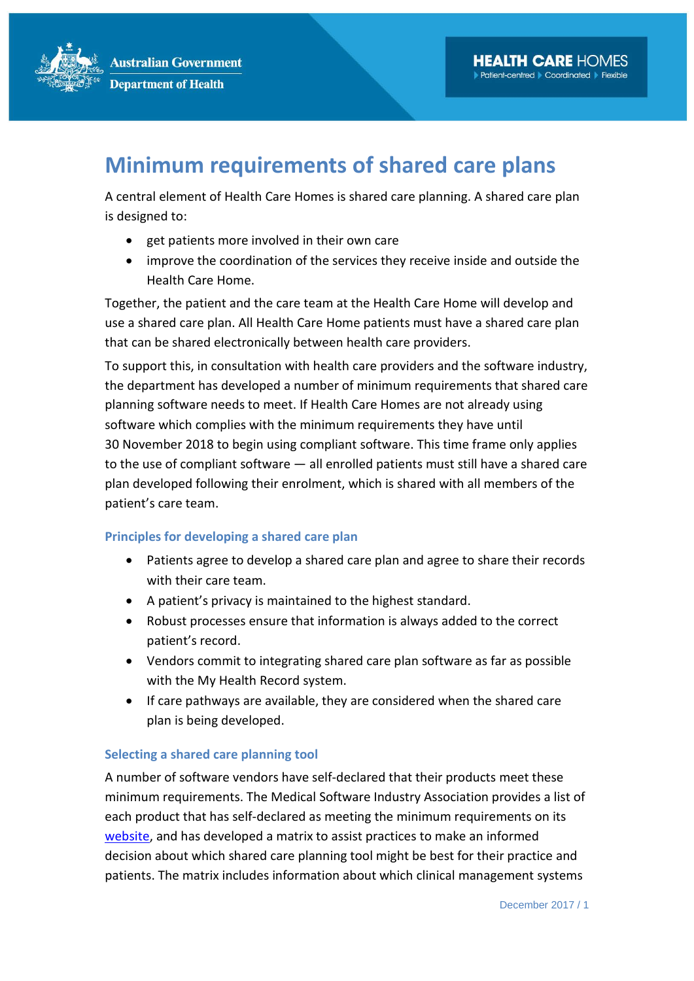**Australian Government Department of Health** 

## **Minimum requirements of shared care plans**

A central element of Health Care Homes is shared care planning. A shared care plan is designed to:

- get patients more involved in their own care
- improve the coordination of the services they receive inside and outside the Health Care Home.

Together, the patient and the care team at the Health Care Home will develop and use a shared care plan. All Health Care Home patients must have a shared care plan that can be shared electronically between health care providers.

To support this, in consultation with health care providers and the software industry, the department has developed a number of minimum requirements that shared care planning software needs to meet. If Health Care Homes are not already using software which complies with the minimum requirements they have until 30 November 2018 to begin using compliant software. This time frame only applies to the use of compliant software ― all enrolled patients must still have a shared care plan developed following their enrolment, which is shared with all members of the patient's care team.

## **Principles for developing a shared care plan**

- Patients agree to develop a shared care plan and agree to share their records with their care team.
- A patient's privacy is maintained to the highest standard.
- Robust processes ensure that information is always added to the correct patient's record.
- Vendors commit to integrating shared care plan software as far as possible with the My Health Record system.
- If care pathways are available, they are considered when the shared care plan is being developed.

## **Selecting a shared care planning tool**

A number of software vendors have self-declared that their products meet these minimum requirements. The Medical Software Industry Association provides a list of each product that has self-declared as meeting the minimum requirements on its [website,](https://www.msia.com.au/healthcare-homes/) and has developed a matrix to assist practices to make an informed decision about which shared care planning tool might be best for their practice and patients. The matrix includes information about which clinical management systems